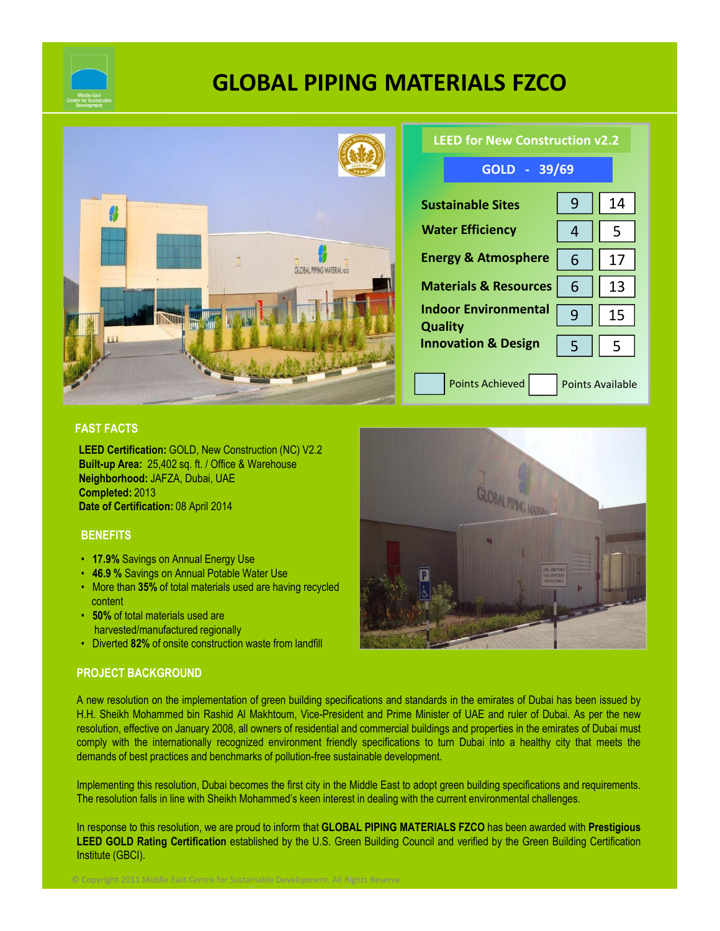

# **GLOBAL PIPING MATERIALS FZCO**



| <b>LEED for New Construction v2.2</b>         |                         |    |
|-----------------------------------------------|-------------------------|----|
| GOLD - 39/69                                  |                         |    |
| <b>Sustainable Sites</b>                      | 9                       | 14 |
| <b>Water Efficiency</b>                       | 4                       | 5  |
| <b>Energy &amp; Atmosphere</b>                | 6                       | 17 |
| <b>Materials &amp; Resources</b>              | 6                       | 13 |
| <b>Indoor Environmental</b><br><b>Quality</b> | q                       | 15 |
| <b>Innovation &amp; Design</b>                | 5                       | 5  |
| <b>Points Achieved</b>                        | <b>Points Available</b> |    |

#### **FAST FACTS**

**LEED Certification:** GOLD, New Construction (NC) V2.2 **Built-up Area:** 25,402 sq. ft. / Office & Warehouse **Neighborhood:** JAFZA, Dubai, UAE **Completed:** 2013 **Date of Certification:** 08 April 2014

#### **BENEFITS**

- **17.9%** Savings on Annual Energy Use
- **46.9 %** Savings on Annual Potable Water Use
- More than **35%** of total materials used are having recycled content
- **50%** of total materials used are harvested/manufactured regionally
- Diverted **82%** of onsite construction waste from landfill

© Copyright 2011 Middle East Centre for Sustainable Development. All Rights Reserve

## **PROJECT BACKGROUND**

A new resolution on the implementation of green building specifications and standards in the emirates of Dubai has been issued by H.H. Sheikh Mohammed bin Rashid Al Makhtoum, Vice-President and Prime Minister of UAE and ruler of Dubai. As per the new resolution, effective on January 2008, all owners of residential and commercial buildings and properties in the emirates of Dubai must comply with the internationally recognized environment friendly specifications to turn Dubai into a healthy city that meets the demands of best practices and benchmarks of pollution-free sustainable development.

Implementing this resolution, Dubai becomes the first city in the Middle East to adopt green building specifications and requirements. The resolution falls in line with Sheikh Mohammed's keen interest in dealing with the current environmental challenges.

In response to this resolution, we are proud to inform that **GLOBAL PIPING MATERIALS FZCO** has been awarded with **Prestigious LEED GOLD Rating Certification** established by the U.S. Green Building Council and verified by the Green Building Certification Institute (GBCI).